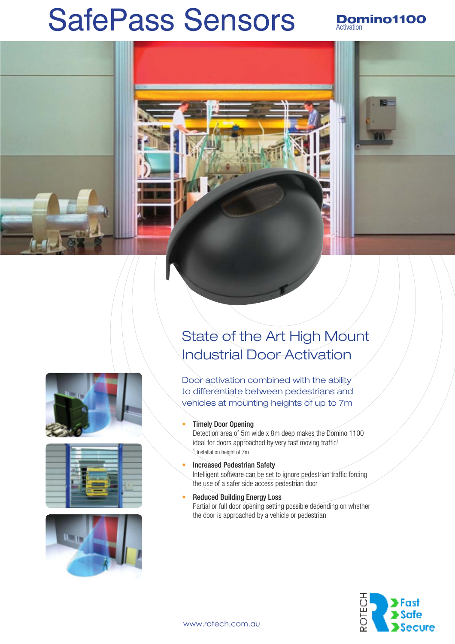# SafePass Sensors Bomino1100



# State of the Art High Mount Industrial Door Activation

Door activation combined with the ability to differentiate between pedestrians and vehicles at mounting heights of up to 7m







### • Timely Door Opening

Detection area of 5m wide x 8m deep makes the Domino 1100 ideal for doors approached by very fast moving traffic<sup>1</sup> <sup>1</sup> Installation height of 7m

• Increased Pedestrian Safety

Intelligent software can be set to ignore pedestrian traffic forcing the use of a safer side access pedestrian door

• Reduced Building Energy Loss Partial or full door opening setting possible depending on whether the door is approached by a vehicle or pedestrian